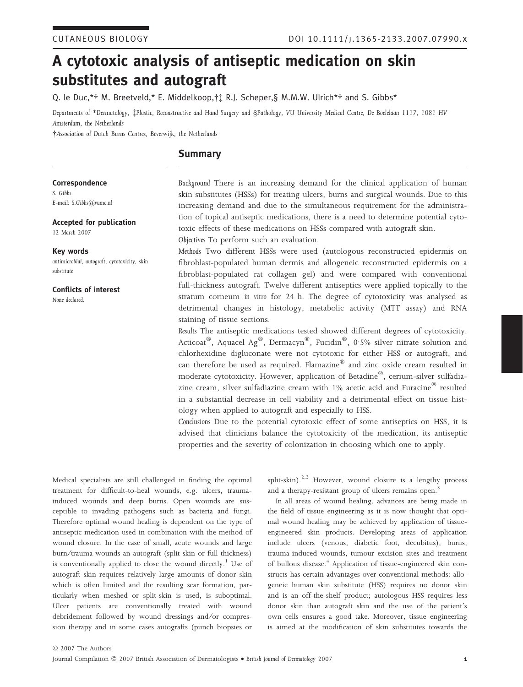# A cytotoxic analysis of antiseptic medication on skin substitutes and autograft

Q. le Duc,\*† M. Breetveld,\* E. Middelkoop,†‡ R.J. Scheper,§ M.M.W. Ulrich\*† and S. Gibbs\*

Departments of \*Dermatology, Plastic, Reconstructive and Hand Surgery and §Pathology, VU University Medical Centre, De Boelelaan 1117, 1081 HV Amsterdam, the Netherlands

-Association of Dutch Burns Centres, Beverwijk, the Netherlands

# Summary

#### Correspondence

S. Gibbs. E-mail: S.Gibbs@vumc.nl

# Accepted for publication 12 March 2007

#### Key words

antimicrobial, autograft, cytotoxicity, skin substitute

# Conflicts of interest

None declared.

Background There is an increasing demand for the clinical application of human skin substitutes (HSSs) for treating ulcers, burns and surgical wounds. Due to this increasing demand and due to the simultaneous requirement for the administration of topical antiseptic medications, there is a need to determine potential cytotoxic effects of these medications on HSSs compared with autograft skin. Objectives To perform such an evaluation.

Methods Two different HSSs were used (autologous reconstructed epidermis on fibroblast-populated human dermis and allogeneic reconstructed epidermis on a fibroblast-populated rat collagen gel) and were compared with conventional full-thickness autograft. Twelve different antiseptics were applied topically to the stratum corneum in vitro for 24 h. The degree of cytotoxicity was analysed as detrimental changes in histology, metabolic activity (MTT assay) and RNA staining of tissue sections.

Results The antiseptic medications tested showed different degrees of cytotoxicity. Acticoat $^\circledast$ , Aquacel Ag $^\circledast$ , Dermacyn $^\circledast$ , Fucidin $^\circledast$ , 0·5% silver nitrate solution and chlorhexidine digluconate were not cytotoxic for either HSS or autograft, and can therefore be used as required. Flamazine $^\circledast$  and zinc oxide cream resulted in moderate cytotoxicity. However, application of Betadine $^\circledast$ , cerium-silver sulfadiazine cream, silver sulfadiazine cream with  $1\%$  acetic acid and Furacine $^\circledast$  resulted in a substantial decrease in cell viability and a detrimental effect on tissue histology when applied to autograft and especially to HSS.

Conclusions Due to the potential cytotoxic effect of some antiseptics on HSS, it is advised that clinicians balance the cytotoxicity of the medication, its antiseptic properties and the severity of colonization in choosing which one to apply.

Medical specialists are still challenged in finding the optimal treatment for difficult-to-heal wounds, e.g. ulcers, traumainduced wounds and deep burns. Open wounds are susceptible to invading pathogens such as bacteria and fungi. Therefore optimal wound healing is dependent on the type of antiseptic medication used in combination with the method of wound closure. In the case of small, acute wounds and large burn/trauma wounds an autograft (split-skin or full-thickness) is conventionally applied to close the wound directly.<sup>1</sup> Use of autograft skin requires relatively large amounts of donor skin which is often limited and the resulting scar formation, particularly when meshed or split-skin is used, is suboptimal. Ulcer patients are conventionally treated with wound debridement followed by wound dressings and ⁄or compression therapy and in some cases autografts (punch biopsies or

split-skin).<sup>2,3</sup> However, wound closure is a lengthy process and a therapy-resistant group of ulcers remains open.<sup>3</sup>

In all areas of wound healing, advances are being made in the field of tissue engineering as it is now thought that optimal wound healing may be achieved by application of tissueengineered skin products. Developing areas of application include ulcers (venous, diabetic foot, decubitus), burns, trauma-induced wounds, tumour excision sites and treatment of bullous disease.<sup>4</sup> Application of tissue-engineered skin constructs has certain advantages over conventional methods: allogeneic human skin substitute (HSS) requires no donor skin and is an off-the-shelf product; autologous HSS requires less donor skin than autograft skin and the use of the patient's own cells ensures a good take. Moreover, tissue engineering is aimed at the modification of skin substitutes towards the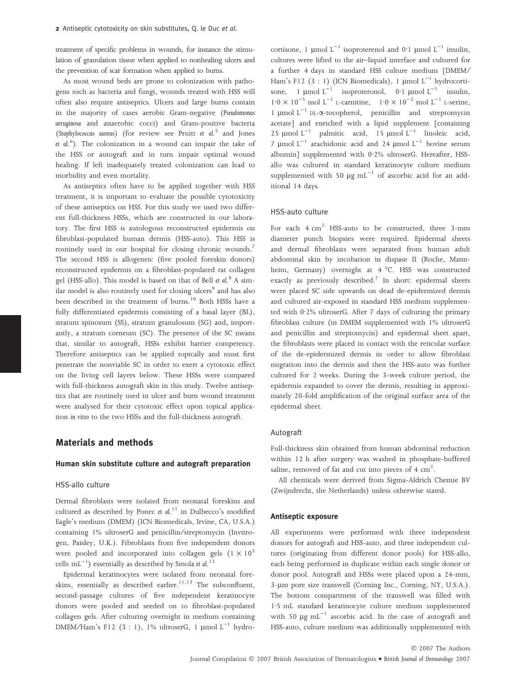treatment of specific problems in wounds, for instance the stimulation of granulation tissue when applied to nonhealing ulcers and the prevention of scar formation when applied to burns.

As most wound beds are prone to colonization with pathogens such as bacteria and fungi, wounds treated with HSS will often also require antiseptics. Ulcers and large burns contain in the majority of cases aerobic Gram-negative (Pseudomonas aeruginosa and anaerobic cocci) and Gram-positive bacteria (Staphylococcus aureus) (for review see Pruitt et al.<sup>5</sup> and Jones et al.<sup>6</sup>). The colonization in a wound can impair the take of the HSS or autograft and in turn impair optimal wound healing. If left inadequately treated colonization can lead to morbidity and even mortality.

As antiseptics often have to be applied together with HSS treatment, it is important to evaluate the possible cytotoxicity of these antiseptics on HSS. For this study we used two different full-thickness HSSs, which are constructed in our laboratory. The first HSS is autologous reconstructed epidermis on fibroblast-populated human dermis (HSS-auto). This HSS is routinely used in our hospital for closing chronic wounds.<sup>7</sup> The second HSS is allogeneic (five pooled foreskin donors) reconstructed epidermis on a fibroblast-populated rat collagen gel (HSS-allo). This model is based on that of Bell et al.<sup>8</sup> A similar model is also routinely used for closing ulcers<sup>9</sup> and has also been described in the treatment of burns.<sup>10</sup> Both HSSs have a fully differentiated epidermis consisting of a basal layer (BL), stratum spinosum (SS), stratum granulosum (SG) and, importantly, a stratum corneum (SC). The presence of the SC means that, similar to autograft, HSSs exhibit barrier competency. Therefore antiseptics can be applied topically and must first penetrate the nonviable SC in order to exert a cytotoxic effect on the living cell layers below. These HSSs were compared with full-thickness autograft skin in this study. Twelve antiseptics that are routinely used in ulcer and burn wound treatment were analysed for their cytotoxic effect upon topical application in vitro to the two HSSs and the full-thickness autograft.

# Materials and methods

#### Human skin substitute culture and autograft preparation

# HSS-allo culture

Dermal fibroblasts were isolated from neonatal foreskins and cultured as described by Ponec et al.<sup>11</sup> in Dulbecco's modified Eagle's medium (DMEM) (ICN Biomedicals, Irvine, CA, U.S.A.) containing 1% ultroserG and penicillin/streptomycin (Invitrogen, Paisley, U.K.). Fibroblasts from five independent donors were pooled and incorporated into collagen gels  $(1 \times 10^5$ cells  $mL^{-1}$ ) essentially as described by Smola et al.<sup>12</sup>

Epidermal keratinocytes were isolated from neonatal foreskins, essentially as described earlier. $11,13$  The subconfluent, second-passage cultures of five independent keratinocyte donors were pooled and seeded on to fibroblast-populated collagen gels. After culturing overnight in medium containing DMEM/Ham's F12 (3 : 1), 1% ultroserG, 1  $\mu$ mol L<sup>-1</sup> hydrocortisone, 1  $\mu$ mol L<sup>-1</sup> isoproterenol and 0·1  $\mu$ mol L<sup>-1</sup> insulin, cultures were lifted to the air–liquid interface and cultured for a further 4 days in standard HSS culture medium [DMEM ⁄ Ham's F12 (3 : 1) (ICN Biomedicals), 1  $\mu$ mol L<sup>-1</sup> hydrocortisone, 1  $\mu$ mol L<sup>-1</sup> isoproteronol, 0·1  $\mu$ mol L<sup>-1</sup> insulin,  $1.0 \times 10^{-5}$  mol L<sup>-1</sup> L-carnitine,  $1.0 \times 10^{-2}$  mol L<sup>-1</sup> L-serine, 1 µmol  $L^{-1}$  DL- $\alpha$ -tocopherol, penicillin and streptomycin acetate] and enriched with a lipid supplement [containing 25  $\mu$ mol L<sup>-1</sup> palmitic acid, 15  $\mu$ mol L<sup>-1</sup> linoleic acid, 7 µmol  $L^{-1}$  arachidonic acid and 24 µmol  $L^{-1}$  bovine serum albumin] supplemented with  $0.2\%$  ultroserG. Hereafter, HSSallo was cultured in standard keratinocyte culture medium supplemented with 50  $\mu$ g mL<sup>-1</sup> of ascorbic acid for an additional 14 days.

## HSS-auto culture

For each  $4 \text{ cm}^2$  HSS-auto to be constructed, three 3-mm diameter punch biopsies were required. Epidermal sheets and dermal fibroblasts were separated from human adult abdominal skin by incubation in dispase II (Roche, Mannheim, Germany) overnight at 4 °C. HSS was constructed exactly as previously described.<sup>7</sup> In short: epidermal sheets were placed SC side upwards on dead de-epidermized dermis and cultured air-exposed in standard HSS medium supplemented with  $0.2\%$  ultroserG. After 7 days of culturing the primary fibroblast culture (in DMEM supplemented with 1% ultroserG and penicillin and streptomycin) and epidermal sheet apart, the fibroblasts were placed in contact with the reticular surface of the de-epidermized dermis in order to allow fibroblast migration into the dermis and then the HSS-auto was further cultured for 2 weeks. During the 3-week culture period, the epidermis expanded to cover the dermis, resulting in approximately 20-fold amplification of the original surface area of the epidermal sheet.

## Autograft

Full-thickness skin obtained from human abdominal reduction within 12 h after surgery was washed in phosphate-buffered saline, removed of fat and cut into pieces of  $4 \text{ cm}^2$ .

All chemicals were derived from Sigma-Aldrich Chemie BV (Zwijndrecht, the Netherlands) unless otherwise stated.

#### Antiseptic exposure

All experiments were performed with three independent donors for autograft and HSS-auto, and three independent cultures (originating from different donor pools) for HSS-allo, each being performed in duplicate within each single donor or donor pool. Autograft and HSSs were placed upon a 24-mm, 3-lm pore size transwell (Corning Inc., Corning, NY, U.S.A.). The bottom compartment of the transwell was filled with 1.5 mL standard keratinocyte culture medium supplemented with 50  $\mu$ g mL<sup>-1</sup> ascorbic acid. In the case of autograft and HSS-auto, culture medium was additionally supplemented with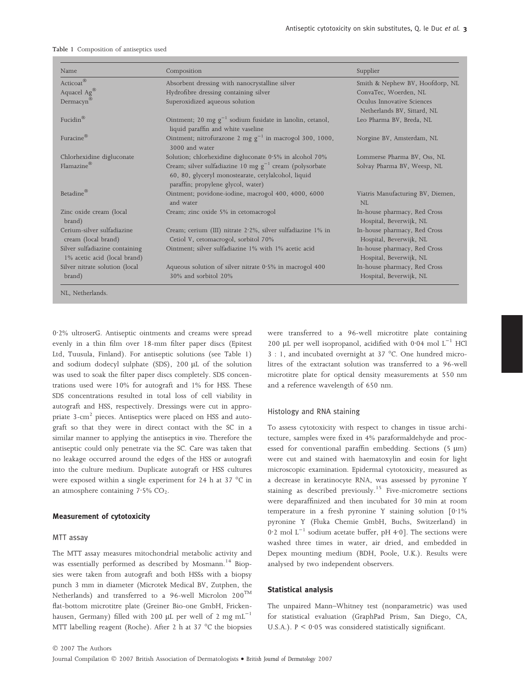#### Table 1 Composition of antiseptics used

| Name                                                           | Composition                                                                                                                                               | Supplier                                                  |
|----------------------------------------------------------------|-----------------------------------------------------------------------------------------------------------------------------------------------------------|-----------------------------------------------------------|
| Acticoat®                                                      | Absorbent dressing with nanocrystalline silver                                                                                                            | Smith & Nephew BV, Hoofdorp, NL                           |
| Aquacel Ag <sup>®</sup>                                        | Hydrofibre dressing containing silver                                                                                                                     | ConvaTec, Woerden, NL                                     |
| Dermacyn <sup>®</sup>                                          | Superoxidized aqueous solution                                                                                                                            | Oculus Innovative Sciences<br>Netherlands BV, Sittard, NL |
| Fucidin®                                                       | Ointment; 20 mg $g^{-1}$ sodium fusidate in lanolin, cetanol,<br>liquid paraffin and white vaseline                                                       | Leo Pharma BV, Breda, NL                                  |
| Furacine®                                                      | Ointment; nitrofurazone 2 mg $g^{-1}$ in macrogol 300, 1000,<br>3000 and water                                                                            | Norgine BV, Amsterdam, NL                                 |
| Chlorhexidine digluconate                                      | Solution; chlorhexidine digluconate 0.5% in alcohol 70%                                                                                                   | Lommerse Pharma BV, Oss, NL                               |
| Flamazine <sup>®</sup>                                         | Cream; silver sulfadiazine 10 mg $g^{-1}$ cream (polysorbate<br>60, 80, glyceryl monostearate, cetylalcohol, liquid<br>paraffin; propylene glycol, water) | Solvay Pharma BV, Weesp, NL                               |
| Betadine <sup>®</sup>                                          | Ointment; povidone-iodine, macrogol 400, 4000, 6000<br>and water                                                                                          | Viatris Manufacturing BV, Diemen,<br>NI.                  |
| Zinc oxide cream (local<br>brand)                              | Cream; zinc oxide 5% in cetomacrogol                                                                                                                      | In-house pharmacy, Red Cross<br>Hospital, Beverwijk, NL   |
| Cerium-silver sulfadiazine<br>cream (local brand)              | Cream; cerium (III) nitrate 2.2%, silver sulfadiazine 1% in<br>Cetiol V, cetomacrogol, sorbitol 70%                                                       | In-house pharmacy, Red Cross<br>Hospital, Beverwijk, NL   |
| Silver sulfadiazine containing<br>1% acetic acid (local brand) | Ointment; silver sulfadiazine 1% with 1% acetic acid                                                                                                      | In-house pharmacy, Red Cross<br>Hospital, Beverwijk, NL   |
| Silver nitrate solution (local<br>brand)                       | Aqueous solution of silver nitrate 0.5% in macrogol 400<br>30% and sorbitol 20%                                                                           | In-house pharmacy, Red Cross<br>Hospital, Beverwijk, NL   |

0.2% ultroserG. Antiseptic ointments and creams were spread evenly in a thin film over 18-mm filter paper discs (Epitest Ltd, Tuusula, Finland). For antiseptic solutions (see Table 1) and sodium dodecyl sulphate (SDS),  $200 \mu L$  of the solution was used to soak the filter paper discs completely. SDS concentrations used were 10% for autograft and 1% for HSS. These SDS concentrations resulted in total loss of cell viability in autograft and HSS, respectively. Dressings were cut in appropriate 3-cm<sup>2</sup> pieces. Antiseptics were placed on HSS and autograft so that they were in direct contact with the SC in a similar manner to applying the antiseptics in vivo. Therefore the antiseptic could only penetrate via the SC. Care was taken that no leakage occurred around the edges of the HSS or autograft into the culture medium. Duplicate autograft or HSS cultures were exposed within a single experiment for 24 h at 37  $^{\circ}$ C in an atmosphere containing  $7.5\%$  CO<sub>2</sub>.

#### Measurement of cytotoxicity

#### MTT assay

The MTT assay measures mitochondrial metabolic activity and was essentially performed as described by Mosmann.<sup>14</sup> Biopsies were taken from autograft and both HSSs with a biopsy punch 3 mm in diameter (Microtek Medical BV, Zutphen, the Netherlands) and transferred to a 96-well Microlon  $200^{TM}$ flat-bottom microtitre plate (Greiner Bio-one GmbH, Frickenhausen, Germany) filled with 200  $\mu$ L per well of 2 mg mL<sup>-1</sup> MTT labelling reagent (Roche). After 2 h at 37  $^{\circ}$ C the biopsies were transferred to a 96-well microtitre plate containing 200 µL per well isopropanol, acidified with 0.04 mol  $L^{-1}$  HCl  $3:1$ , and incubated overnight at  $37$  °C. One hundred microlitres of the extractant solution was transferred to a 96-well microtitre plate for optical density measurements at 550 nm and a reference wavelength of 650 nm.

#### Histology and RNA staining

To assess cytotoxicity with respect to changes in tissue architecture, samples were fixed in 4% paraformaldehyde and processed for conventional paraffin embedding. Sections  $(5 \mu m)$ were cut and stained with haematoxylin and eosin for light microscopic examination. Epidermal cytotoxicity, measured as a decrease in keratinocyte RNA, was assessed by pyronine Y staining as described previously.<sup>15</sup> Five-micrometre sections were deparaffinized and then incubated for 30 min at room temperature in a fresh pyronine Y staining solution  $[0.1\%$ pyronine Y (Fluka Chemie GmbH, Buchs, Switzerland) in 0.2 mol  $L^{-1}$  sodium acetate buffer, pH 4.0]. The sections were washed three times in water, air dried, and embedded in Depex mounting medium (BDH, Poole, U.K.). Results were analysed by two independent observers.

## Statistical analysis

The unpaired Mann–Whitney test (nonparametric) was used for statistical evaluation (GraphPad Prism, San Diego, CA, U.S.A.).  $P < 0.05$  was considered statistically significant.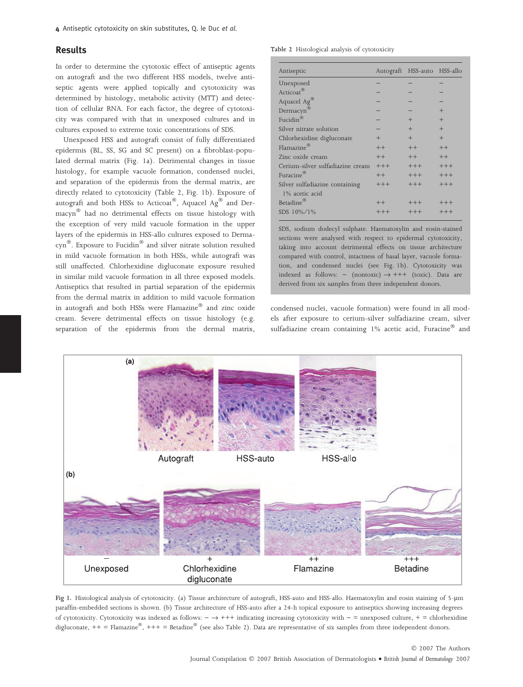4 Antiseptic cytotoxicity on skin substitutes, Q. le Duc et al.

# Results

In order to determine the cytotoxic effect of antiseptic agents on autograft and the two different HSS models, twelve antiseptic agents were applied topically and cytotoxicity was determined by histology, metabolic activity (MTT) and detection of cellular RNA. For each factor, the degree of cytotoxicity was compared with that in unexposed cultures and in cultures exposed to extreme toxic concentrations of SDS.

Unexposed HSS and autograft consist of fully differentiated epidermis (BL, SS, SG and SC present) on a fibroblast-populated dermal matrix (Fig. 1a). Detrimental changes in tissue histology, for example vacuole formation, condensed nuclei, and separation of the epidermis from the dermal matrix, are directly related to cytotoxicity (Table 2, Fig. 1b). Exposure of autograft and both HSSs to Acticoat $^\circledast$ , Aquacel Ag $^\circledast$  and Dermacyn<sup>®</sup> had no detrimental effects on tissue histology with the exception of very mild vacuole formation in the upper layers of the epidermis in HSS-allo cultures exposed to Derma- $\mathrm{cyn}^{\circledast}.$  Exposure to Fucidin $^{\circledast}$  and silver nitrate solution resulted in mild vacuole formation in both HSSs, while autograft was still unaffected. Chlorhexidine digluconate exposure resulted in similar mild vacuole formation in all three exposed models. Antiseptics that resulted in partial separation of the epidermis from the dermal matrix in addition to mild vacuole formation in autograft and both HSSs were Flamazine $^\circledR$  and zinc oxide cream. Severe detrimental effects on tissue histology (e.g. separation of the epidermis from the dermal matrix,

#### Table 2 Histological analysis of cytotoxicity

| Antiseptic                       |        | Autograft HSS-auto HSS-allo |        |
|----------------------------------|--------|-----------------------------|--------|
| Unexposed                        |        |                             |        |
| Acticoat <sup>®</sup>            |        |                             |        |
| Aquacel Ag <sup>®</sup>          |        |                             |        |
| Dermacyn®                        |        |                             | $^{+}$ |
| Fucidin <sup>®</sup>             |        | $\div$                      | $^{+}$ |
| Silver nitrate solution          |        | $+$                         | $^{+}$ |
| Chlorhexidine digluconate        | $^{+}$ | $+$                         | $^{+}$ |
| Flamazine <sup>®</sup>           | $++$   | $++$                        | $++$   |
| Zinc oxide cream                 | $++$   | $++$                        | $++$   |
| Cerium-silver sulfadiazine cream | $+++$  | $+++$                       | $+++$  |
| Furacine®                        | $++$   | $+++$                       | $+++$  |
| Silver sulfadiazine containing   | $+++$  | $+++$                       | $+++$  |
| 1% acetic acid                   |        |                             |        |
| Betadine <sup>®</sup>            | $++$   | $+++$                       | $+++$  |
| $SDS$ 10%/1%                     | $+++$  | $+++$                       | $+++$  |

SDS, sodium dodecyl sulphate. Haematoxylin and eosin-stained sections were analysed with respect to epidermal cytotoxicity, taking into account detrimental effects on tissue architecture compared with control, intactness of basal layer, vacuole formation, and condensed nuclei (see Fig. 1b). Cytotoxicity was indexed as follows:  $-$  (nontoxic)  $\rightarrow$  +++ (toxic). Data are derived from six samples from three independent donors.

condensed nuclei, vacuole formation) were found in all models after exposure to cerium-silver sulfadiazine cream, silver

sulfadiazine cream containing 1% acetic acid, Furacine $^{\circledR}$  and  $(a)$ HSS-allo Autograft **HSS-auto**  $(b)$  $^{+++}$ Unexposed Chlorhexidine Flamazine **Betadine** digluconate Fig 1. Histological analysis of cytotoxicity. (a) Tissue architecture of autograft, HSS-auto and HSS-allo. Haematoxylin and eosin staining of 5-lm

paraffin-embedded sections is shown. (b) Tissue architecture of HSS-auto after a 24-h topical exposure to antiseptics showing increasing degrees of cytotoxicity. Cytotoxicity was indexed as follows:  $-\rightarrow$  +++ indicating increasing cytotoxicity with  $-\equiv$  unexposed culture, + = chlorhexidine digluconate, ++ = Flamazine®, +++ = Betadine® (see also Table 2). Data are representative of six samples from three independent donors.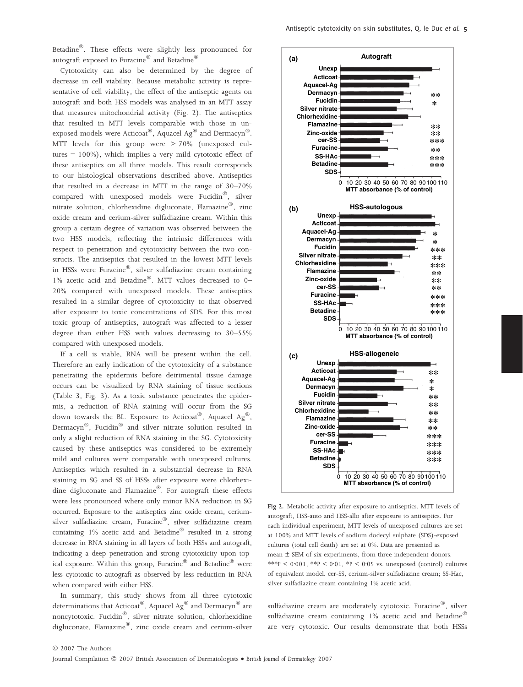Betadine®. These effects were slightly less pronounced for autograft exposed to Furacine $^\circledR$  and Betadine $^\circledR$ 

Cytotoxicity can also be determined by the degree of decrease in cell viability. Because metabolic activity is representative of cell viability, the effect of the antiseptic agents on autograft and both HSS models was analysed in an MTT assay that measures mitochondrial activity (Fig. 2). The antiseptics that resulted in MTT levels comparable with those in unexposed models were Acticoat $^\circledast$ , Aquacel Ag $^\circledast$  and Dermacyn $^\circledast$ . MTT levels for this group were > 70% (unexposed cultures  $= 100\%$ ), which implies a very mild cytotoxic effect of these antiseptics on all three models. This result corresponds to our histological observations described above. Antiseptics that resulted in a decrease in MTT in the range of 30–70% compared with unexposed models were Fucidin®, silver nitrate solution, chlorhexidine digluconate, Flamazine $^\circledast$ , zinc oxide cream and cerium-silver sulfadiazine cream. Within this group a certain degree of variation was observed between the two HSS models, reflecting the intrinsic differences with respect to penetration and cytotoxicity between the two constructs. The antiseptics that resulted in the lowest MTT levels in HSSs were Furacine®, silver sulfadiazine cream containing 1% acetic acid and Betadine®. MTT values decreased to 0-20% compared with unexposed models. These antiseptics resulted in a similar degree of cytotoxicity to that observed after exposure to toxic concentrations of SDS. For this most toxic group of antiseptics, autograft was affected to a lesser degree than either HSS with values decreasing to 30–55% compared with unexposed models.

If a cell is viable, RNA will be present within the cell. Therefore an early indication of the cytotoxicity of a substance penetrating the epidermis before detrimental tissue damage occurs can be visualized by RNA staining of tissue sections (Table 3, Fig. 3). As a toxic substance penetrates the epidermis, a reduction of RNA staining will occur from the SG down towards the BL. Exposure to Acticoat $^\circledR$ , Aquacel Ag $^\circledR$ , Dermacyn $^{\circledR}$ , Fucidin $^{\circledR}$  and silver nitrate solution resulted in only a slight reduction of RNA staining in the SG. Cytotoxicity caused by these antiseptics was considered to be extremely mild and cultures were comparable with unexposed cultures. Antiseptics which resulted in a substantial decrease in RNA staining in SG and SS of HSSs after exposure were chlorhexidine digluconate and Flamazine®. For autograft these effects were less pronounced where only minor RNA reduction in SG occurred. Exposure to the antiseptics zinc oxide cream, ceriumsilver sulfadiazine cream, Furacine®, silver sulfadiazine cream containing  $1\%$  acetic acid and Betadine $^{\circledR}$  resulted in a strong decrease in RNA staining in all layers of both HSSs and autograft, indicating a deep penetration and strong cytotoxicity upon topical exposure. Within this group, Furacine $^\circledR$  and Betadine $^\circledR$  were less cytotoxic to autograft as observed by less reduction in RNA when compared with either HSS.

In summary, this study shows from all three cytotoxic determinations that Acticoat $^\circledast$ , Aquacel Ag $^\circledast$  and Dermacyn $^\circledast$  are noncytotoxic. Fucidin $^\circledast$ , silver nitrate solution, chlorhexidine digluconate, Flamazine®, zinc oxide cream and cerium-silver



Fig 2. Metabolic activity after exposure to antiseptics. MTT levels of autograft, HSS-auto and HSS-allo after exposure to antiseptics. For each individual experiment, MTT levels of unexposed cultures are set at 100% and MTT levels of sodium dodecyl sulphate (SDS)-exposed cultures (total cell death) are set at 0%. Data are presented as mean ± SEM of six experiments, from three independent donors. \*\*\*P < 0.001, \*\*P < 0.01, \*P < 0.05 vs. unexposed (control) cultures of equivalent model. cer-SS, cerium-silver sulfadiazine cream; SS-Hac, silver sulfadiazine cream containing 1% acetic acid.

sulfadiazine cream are moderately cytotoxic. Furacine $^\circledast$ , silver sulfadiazine cream containing 1% acetic acid and Betadine $^\circ$ are very cytotoxic. Our results demonstrate that both HSSs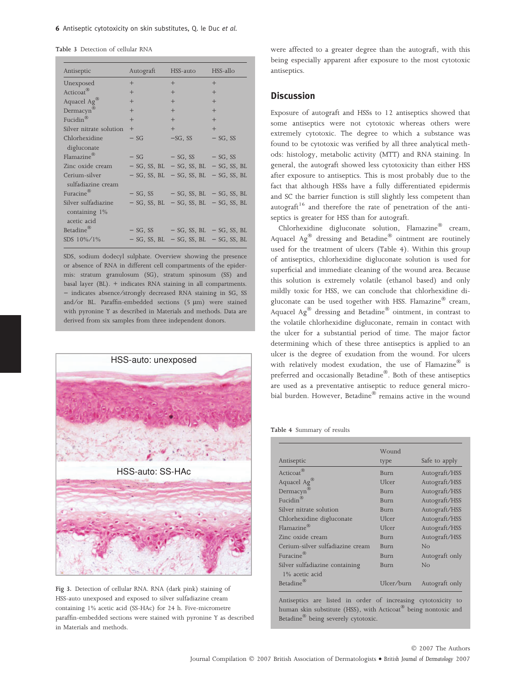Table 3 Detection of cellular RNA

| Antiseptic               | Autograft | HSS-auto                                     | HSS-allo   |
|--------------------------|-----------|----------------------------------------------|------------|
| Unexposed                | $^{+}$    | $+$                                          | $^{+}$     |
| Acticoat <sup>®</sup>    | $+$       | $+$                                          | $+$        |
| Aquacel $Ag^{\circledR}$ | $+$       | $+$                                          | $+$        |
| Dermacyn <sup>®</sup>    | $+$       | $+$                                          | $+$        |
| Fucidin $^{\circledR}$   | $+$       | $+$                                          | $+$        |
| Silver nitrate solution  | $+$       | $+$                                          | $+$        |
| Chlorhexidine            | $-SG$     | $-SG$ , SS                                   | $-SG$ , SS |
| digluconate              |           |                                              |            |
| Flamazine®               |           | $-SG - SG$ , SS $-SG$ , SS                   |            |
| Zinc oxide cream         |           | $-$ SG, SS, BL $-$ SG, SS, BL $-$ SG, SS, BL |            |
| Cerium-silver            |           | $-$ SG, SS, BL $-$ SG, SS, BL $-$ SG, SS, BL |            |
| sulfadiazine cream       |           |                                              |            |
| Furacine <sup>®</sup>    |           | $-SG$ , SS $-SG$ , SS, BL $-SG$ , SS, BL     |            |
| Silver sulfadiazine      |           | $-$ SG, SS, BL $-$ SG, SS, BL $-$ SG, SS, BL |            |
| containing $1\%$         |           |                                              |            |
| acetic acid              |           |                                              |            |
| Betadine <sup>®</sup>    |           | $-SG$ , SS $-SG$ , SS, BL $-SG$ , SS, BL     |            |
| $SDS$ 10%/1%             |           | $-$ SG, SS, BL $-$ SG, SS, BL $-$ SG, SS, BL |            |

SDS, sodium dodecyl sulphate. Overview showing the presence or absence of RNA in different cell compartments of the epidermis: stratum granulosum (SG), stratum spinosum (SS) and basal layer (BL). + indicates RNA staining in all compartments. - indicates absence/strongly decreased RNA staining in SG, SS and/or BL. Paraffin-embedded sections  $(5 \mu m)$  were stained with pyronine Y as described in Materials and methods. Data are derived from six samples from three independent donors.



Fig 3. Detection of cellular RNA. RNA (dark pink) staining of HSS-auto unexposed and exposed to silver sulfadiazine cream containing 1% acetic acid (SS-HAc) for 24 h. Five-micrometre paraffin-embedded sections were stained with pyronine Y as described in Materials and methods.

were affected to a greater degree than the autograft, with this being especially apparent after exposure to the most cytotoxic antiseptics.

# **Discussion**

Exposure of autograft and HSSs to 12 antiseptics showed that some antiseptics were not cytotoxic whereas others were extremely cytotoxic. The degree to which a substance was found to be cytotoxic was verified by all three analytical methods: histology, metabolic activity (MTT) and RNA staining. In general, the autograft showed less cytotoxicity than either HSS after exposure to antiseptics. This is most probably due to the fact that although HSSs have a fully differentiated epidermis and SC the barrier function is still slightly less competent than autograft<sup>16</sup> and therefore the rate of penetration of the antiseptics is greater for HSS than for autograft.

Chlorhexidine digluconate solution, Flamazine® cream, Aquacel Ag<sup>®</sup> dressing and Betadine® ointment are routinely used for the treatment of ulcers (Table 4). Within this group of antiseptics, chlorhexidine digluconate solution is used for superficial and immediate cleaning of the wound area. Because this solution is extremely volatile (ethanol based) and only mildly toxic for HSS, we can conclude that chlorhexidine digluconate can be used together with HSS. Flamazine® cream, Aquacel  $\mathrm{Ag}^\circledast$  dressing and Betadine $^\circledast$  ointment, in contrast to the volatile chlorhexidine digluconate, remain in contact with the ulcer for a substantial period of time. The major factor determining which of these three antiseptics is applied to an ulcer is the degree of exudation from the wound. For ulcers with relatively modest exudation, the use of Flamazine $^{\circledR}$  is preferred and occasionally Betadine®. Both of these antiseptics are used as a preventative antiseptic to reduce general microbial burden. However, Betadine® remains active in the wound

#### Table 4 Summary of results

|                                  | Wound       |                |
|----------------------------------|-------------|----------------|
| Antiseptic                       | type        | Safe to apply  |
| Acticoat <sup>®</sup>            | <b>Burn</b> | Autograft/HSS  |
| Aquacel Ag <sup>®</sup>          | Ulcer       | Autograft/HSS  |
| Dermacyn®                        | <b>Burn</b> | Autograft/HSS  |
| $\text{Eucidin}^{\circledR}$     | <b>Burn</b> | Autograft/HSS  |
| Silver nitrate solution          | <b>Burn</b> | Autograft/HSS  |
| Chlorhexidine digluconate        | Ulcer       | Autograft/HSS  |
| Flamazine®                       | Ulcer       | Autograft/HSS  |
| Zinc oxide cream                 | <b>Burn</b> | Autograft/HSS  |
| Cerium-silver sulfadiazine cream | <b>Burn</b> | $N_{\Omega}$   |
| Furacine <sup>®</sup>            | <b>Burn</b> | Autograft only |
| Silver sulfadiazine containing   | Burn        | No             |
| 1% acetic acid                   |             |                |
| Betadine <sup>®</sup>            | Ulcer/burn  | Autograft only |

Antiseptics are listed in order of increasing cytotoxicity to human skin substitute (HSS), with Acticoat<sup>®</sup> being nontoxic and Betadine® being severely cytotoxic.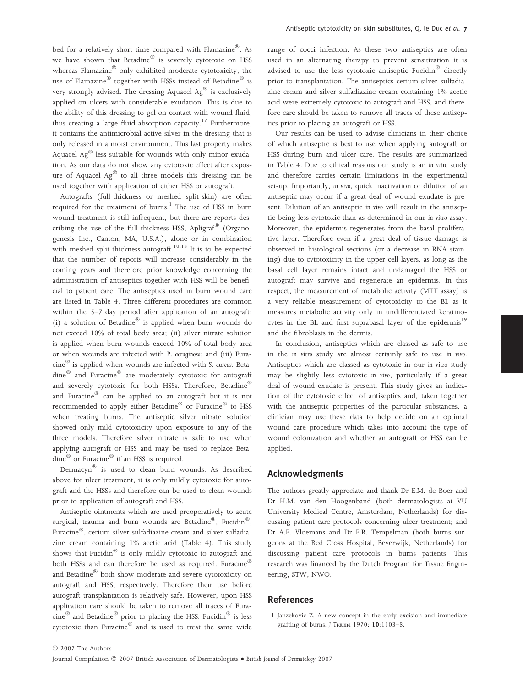bed for a relatively short time compared with Flamazine $^\circledR$ . As we have shown that Betadine $^\circledast$  is severely cytotoxic on HSS whereas Flamazine $^\circledast$  only exhibited moderate cytotoxicity, the use of Flamazine $^\circledast$  together with HSSs instead of Betadine $^\circledast$  is very strongly advised. The dressing Aquacel Ag $^{\circledR}$  is exclusively applied on ulcers with considerable exudation. This is due to the ability of this dressing to gel on contact with wound fluid, thus creating a large fluid-absorption capacity.<sup>17</sup> Furthermore, it contains the antimicrobial active silver in the dressing that is only released in a moist environment. This last property makes Aquacel Ag $^\circledR$  less suitable for wounds with only minor exudation. As our data do not show any cytotoxic effect after exposure of Aquacel Ag $^{\circledR}$  to all three models this dressing can be used together with application of either HSS or autograft.

Autografts (full-thickness or meshed split-skin) are often required for the treatment of burns.<sup>1</sup> The use of HSS in burn wound treatment is still infrequent, but there are reports describing the use of the full-thickness HSS, Apligraf<sup>®</sup> (Organogenesis Inc., Canton, MA, U.S.A.), alone or in combination with meshed split-thickness autograft.<sup>10,18</sup> It is to be expected that the number of reports will increase considerably in the coming years and therefore prior knowledge concerning the administration of antiseptics together with HSS will be beneficial to patient care. The antiseptics used in burn wound care are listed in Table 4. Three different procedures are common within the 5–7 day period after application of an autograft: (i) a solution of Betadine® is applied when burn wounds do not exceed 10% of total body area; (ii) silver nitrate solution is applied when burn wounds exceed 10% of total body area or when wounds are infected with P. aeruginosa; and (iii) Fura- $\mathrm{cine}^{\circledast}$  is applied when wounds are infected with S. aureus. Betadine<sup>®</sup> and Furacine<sup>®</sup> are moderately cytotoxic for autograft and severely cytotoxic for both HSSs. Therefore, Betadine $^\circ$ and Furacine $^\circledR$  can be applied to an autograft but it is not recommended to apply either Betadine $^\circledast$  or Furacine $^\circledast$  to HSS when treating burns. The antiseptic silver nitrate solution showed only mild cytotoxicity upon exposure to any of the three models. Therefore silver nitrate is safe to use when applying autograft or HSS and may be used to replace Beta- $\mathrm{dine}^{\circledR}$  or Furacine $^{\circledR}$  if an HSS is required.

Dermacyn $^{\circledR}$  is used to clean burn wounds. As described above for ulcer treatment, it is only mildly cytotoxic for autograft and the HSSs and therefore can be used to clean wounds prior to application of autograft and HSS.

Antiseptic ointments which are used preoperatively to acute surgical, trauma and burn wounds are Betadine $^\circledR$ , Fucidin $^\circledR$ , Furacine $^\circledR$ , cerium-silver sulfadiazine cream and silver sulfadiazine cream containing 1% acetic acid (Table 4). This study shows that Fucidin $^\circledR$  is only mildly cytotoxic to autograft and both HSSs and can therefore be used as required. Furacine $^\circledR$ and Betadine $^\circledR$  both show moderate and severe cytotoxicity on autograft and HSS, respectively. Therefore their use before autograft transplantation is relatively safe. However, upon HSS application care should be taken to remove all traces of Fura- ${\rm cine}^{\circledR}$  and Betadine $^{\circledR}$  prior to placing the HSS. Fucidin $^{\circledR}$  is less cytotoxic than Furacine $^\circledast$  and is used to treat the same wide

range of cocci infection. As these two antiseptics are often used in an alternating therapy to prevent sensitization it is advised to use the less cytotoxic antiseptic Fucidin® directly prior to transplantation. The antiseptics cerium-silver sulfadiazine cream and silver sulfadiazine cream containing 1% acetic acid were extremely cytotoxic to autograft and HSS, and therefore care should be taken to remove all traces of these antiseptics prior to placing an autograft or HSS.

Our results can be used to advise clinicians in their choice of which antiseptic is best to use when applying autograft or HSS during burn and ulcer care. The results are summarized in Table 4. Due to ethical reasons our study is an in vitro study and therefore carries certain limitations in the experimental set-up. Importantly, in vivo, quick inactivation or dilution of an antiseptic may occur if a great deal of wound exudate is present. Dilution of an antiseptic in vivo will result in the antiseptic being less cytotoxic than as determined in our in vitro assay. Moreover, the epidermis regenerates from the basal proliferative layer. Therefore even if a great deal of tissue damage is observed in histological sections (or a decrease in RNA staining) due to cytotoxicity in the upper cell layers, as long as the basal cell layer remains intact and undamaged the HSS or autograft may survive and regenerate an epidermis. In this respect, the measurement of metabolic activity (MTT assay) is a very reliable measurement of cytotoxicity to the BL as it measures metabolic activity only in undifferentiated keratinocytes in the BL and first suprabasal layer of the epidermis<sup>19</sup> and the fibroblasts in the dermis.

In conclusion, antiseptics which are classed as safe to use in the in vitro study are almost certainly safe to use in vivo. Antiseptics which are classed as cytotoxic in our in vitro study may be slightly less cytotoxic in vivo, particularly if a great deal of wound exudate is present. This study gives an indication of the cytotoxic effect of antiseptics and, taken together with the antiseptic properties of the particular substances, a clinician may use these data to help decide on an optimal wound care procedure which takes into account the type of wound colonization and whether an autograft or HSS can be applied.

# Acknowledgments

The authors greatly appreciate and thank Dr E.M. de Boer and Dr H.M. van den Hoogenband (both dermatologists at VU University Medical Centre, Amsterdam, Netherlands) for discussing patient care protocols concerning ulcer treatment; and Dr A.F. Vloemans and Dr F.R. Tempelman (both burns surgeons at the Red Cross Hospital, Beverwijk, Netherlands) for discussing patient care protocols in burns patients. This research was financed by the Dutch Program for Tissue Engineering, STW, NWO.

# References

1 Janzekovic Z. A new concept in the early excision and immediate grafting of burns. J Trauma 1970; 10:1103–8.